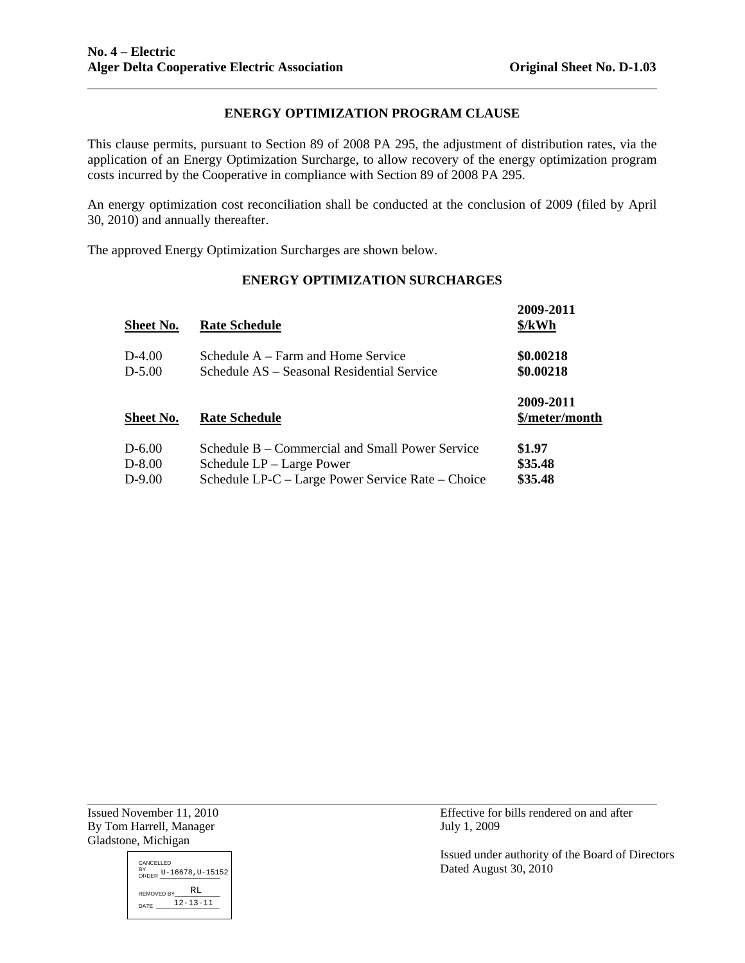# **ENERGY OPTIMIZATION PROGRAM CLAUSE**

This clause permits, pursuant to Section 89 of 2008 PA 295, the adjustment of distribution rates, via the application of an Energy Optimization Surcharge, to allow recovery of the energy optimization program costs incurred by the Cooperative in compliance with Section 89 of 2008 PA 295.

An energy optimization cost reconciliation shall be conducted at the conclusion of 2009 (filed by April 30, 2010) and annually thereafter.

The approved Energy Optimization Surcharges are shown below.

# **ENERGY OPTIMIZATION SURCHARGES**

| <b>Sheet No.</b> | <b>Rate Schedule</b>                              | 2009-2011<br>\$/kWh |
|------------------|---------------------------------------------------|---------------------|
| D-4.00           | Schedule A – Farm and Home Service                | \$0.00218           |
| $D-5.00$         | Schedule AS – Seasonal Residential Service        | \$0.00218           |
|                  |                                                   | 2009-2011           |
| <b>Sheet No.</b> | <b>Rate Schedule</b>                              | \$/meter/month      |
| $D - 6.00$       | Schedule B – Commercial and Small Power Service   | \$1.97              |
| $D-8.00$         | Schedule LP – Large Power                         | \$35.48             |
| D-9.00           | Schedule LP-C – Large Power Service Rate – Choice | \$35.48             |
|                  |                                                   |                     |

By Tom Harrell, Manager July 1, 2009 Gladstone, Michigan

l



Issued November 11, 2010 Effective for bills rendered on and after

Issued under authority of the Board of Directors Dated August 30, 2010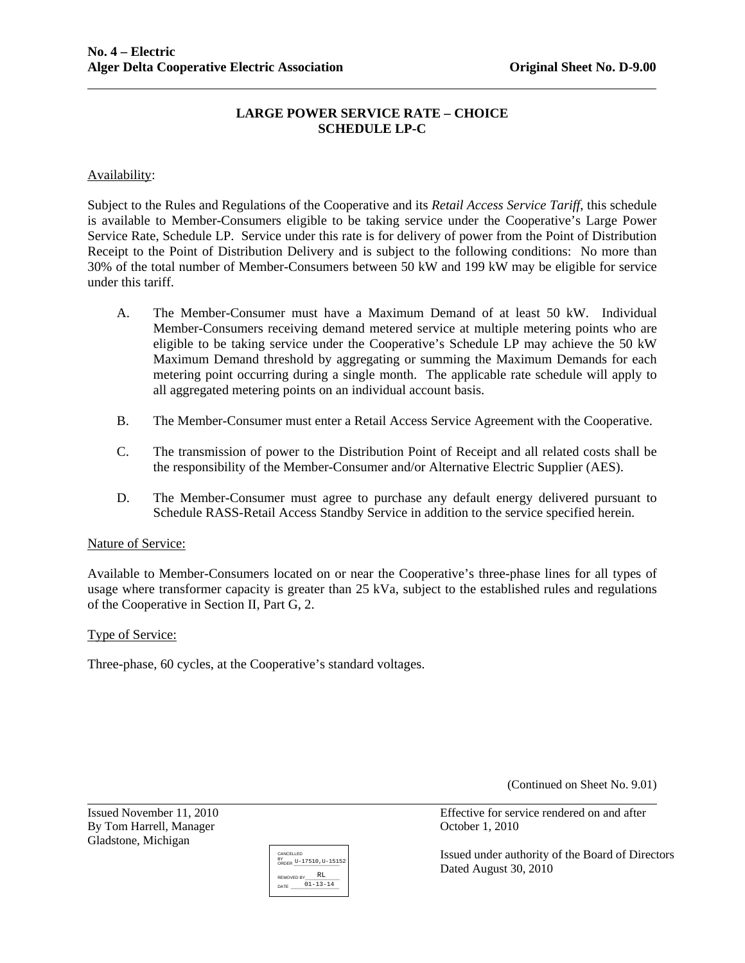# **LARGE POWER SERVICE RATE – CHOICE SCHEDULE LP-C**

# Availability:

Subject to the Rules and Regulations of the Cooperative and its *Retail Access Service Tariff*, this schedule is available to Member-Consumers eligible to be taking service under the Cooperative's Large Power Service Rate, Schedule LP. Service under this rate is for delivery of power from the Point of Distribution Receipt to the Point of Distribution Delivery and is subject to the following conditions: No more than 30% of the total number of Member-Consumers between 50 kW and 199 kW may be eligible for service under this tariff.

- A. The Member-Consumer must have a Maximum Demand of at least 50 kW. Individual Member-Consumers receiving demand metered service at multiple metering points who are eligible to be taking service under the Cooperative's Schedule LP may achieve the 50 kW Maximum Demand threshold by aggregating or summing the Maximum Demands for each metering point occurring during a single month. The applicable rate schedule will apply to all aggregated metering points on an individual account basis.
- B. The Member-Consumer must enter a Retail Access Service Agreement with the Cooperative.
- C. The transmission of power to the Distribution Point of Receipt and all related costs shall be the responsibility of the Member-Consumer and/or Alternative Electric Supplier (AES).
- D. The Member-Consumer must agree to purchase any default energy delivered pursuant to Schedule RASS-Retail Access Standby Service in addition to the service specified herein.

#### Nature of Service:

Available to Member-Consumers located on or near the Cooperative's three-phase lines for all types of usage where transformer capacity is greater than 25 kVa, subject to the established rules and regulations of the Cooperative in Section II, Part G, 2.

### Type of Service:

Three-phase, 60 cycles, at the Cooperative's standard voltages.

(Continued on Sheet No. 9.01)

By Tom Harrell, Manager Corober 1, 2010 Gladstone, Michigan

 $\overline{a}$ 



Issued November 11, 2010 Effective for service rendered on and after

Issued under authority of the Board of Directors Dated August 30, 2010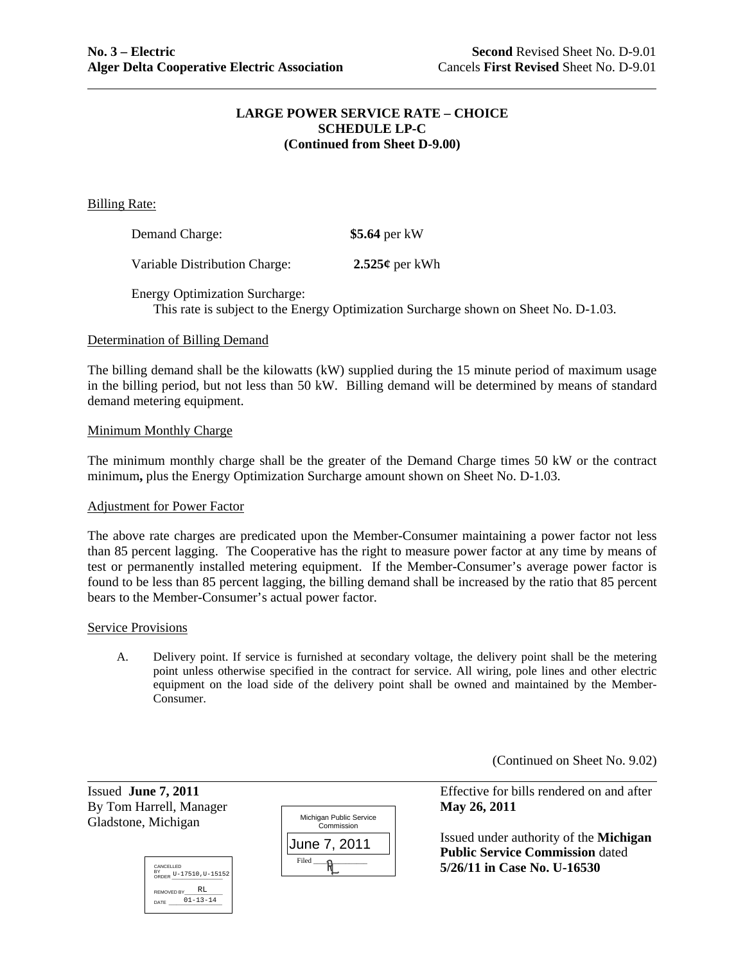## **LARGE POWER SERVICE RATE – CHOICE SCHEDULE LP-C (Continued from Sheet D-9.00)**

Billing Rate:

| Demand Charge:                | \$5.64 per kW  |
|-------------------------------|----------------|
| Variable Distribution Charge: | 2.525¢ per kWh |

Energy Optimization Surcharge: This rate is subject to the Energy Optimization Surcharge shown on Sheet No. D-1.03.

### Determination of Billing Demand

The billing demand shall be the kilowatts (kW) supplied during the 15 minute period of maximum usage in the billing period, but not less than 50 kW. Billing demand will be determined by means of standard demand metering equipment.

#### Minimum Monthly Charge

The minimum monthly charge shall be the greater of the Demand Charge times 50 kW or the contract minimum**,** plus the Energy Optimization Surcharge amount shown on Sheet No. D-1.03.

### Adjustment for Power Factor

The above rate charges are predicated upon the Member-Consumer maintaining a power factor not less than 85 percent lagging. The Cooperative has the right to measure power factor at any time by means of test or permanently installed metering equipment. If the Member-Consumer's average power factor is found to be less than 85 percent lagging, the billing demand shall be increased by the ratio that 85 percent bears to the Member-Consumer's actual power factor.

#### Service Provisions

A. Delivery point. If service is furnished at secondary voltage, the delivery point shall be the metering point unless otherwise specified in the contract for service. All wiring, pole lines and other electric equipment on the load side of the delivery point shall be owned and maintained by the Member-Consumer.

(Continued on Sheet No. 9.02)

By Tom Harrell, Manager **May 26, 2011** Gladstone, Michigan

l





Issued **June 7, 2011** Effective for bills rendered on and after

 Issued under authority of the **Michigan Public Service Commission** dated<br>  $\frac{R}{R}$   $=$   $\frac{5}{26}/11$  in Case No. U-16530 **5/26/11 in Case No. U-16530**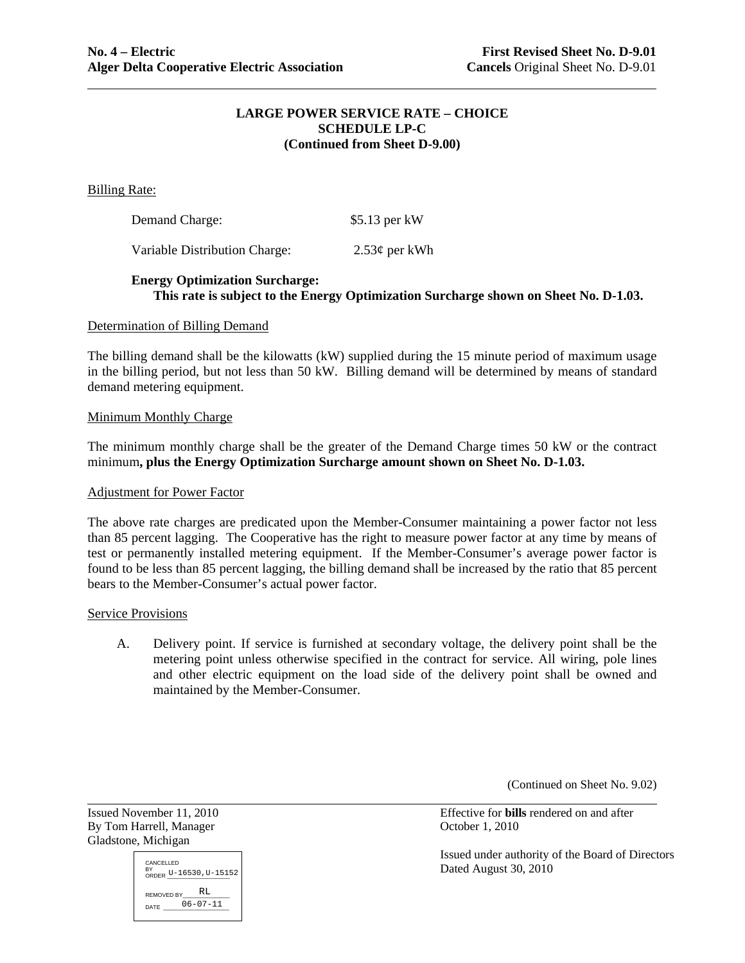### **LARGE POWER SERVICE RATE – CHOICE SCHEDULE LP-C (Continued from Sheet D-9.00)**

Billing Rate:

| Demand Charge: | $$5.13$ per kW |
|----------------|----------------|
|                |                |

Variable Distribution Charge: 2.53¢ per kWh

# **Energy Optimization Surcharge: This rate is subject to the Energy Optimization Surcharge shown on Sheet No. D-1.03.**

#### Determination of Billing Demand

The billing demand shall be the kilowatts (kW) supplied during the 15 minute period of maximum usage in the billing period, but not less than 50 kW. Billing demand will be determined by means of standard demand metering equipment.

#### Minimum Monthly Charge

The minimum monthly charge shall be the greater of the Demand Charge times 50 kW or the contract minimum**, plus the Energy Optimization Surcharge amount shown on Sheet No. D-1.03.** 

#### Adjustment for Power Factor

The above rate charges are predicated upon the Member-Consumer maintaining a power factor not less than 85 percent lagging. The Cooperative has the right to measure power factor at any time by means of test or permanently installed metering equipment. If the Member-Consumer's average power factor is found to be less than 85 percent lagging, the billing demand shall be increased by the ratio that 85 percent bears to the Member-Consumer's actual power factor.

#### Service Provisions

A. Delivery point. If service is furnished at secondary voltage, the delivery point shall be the metering point unless otherwise specified in the contract for service. All wiring, pole lines and other electric equipment on the load side of the delivery point shall be owned and maintained by the Member-Consumer.

(Continued on Sheet No. 9.02)

By Tom Harrell, Manager Controller Controller and Coroller 1, 2010 Gladstone, Michigan

 $\overline{a}$ 

CANCELLED BY<br>ORDER U-16530, U-15152  $REMOVED$   $BY$   $RL$ DATE 06-07-11

Issued November 11, 2010 Effective for **bills** rendered on and after

Issued under authority of the Board of Directors Dated August 30, 2010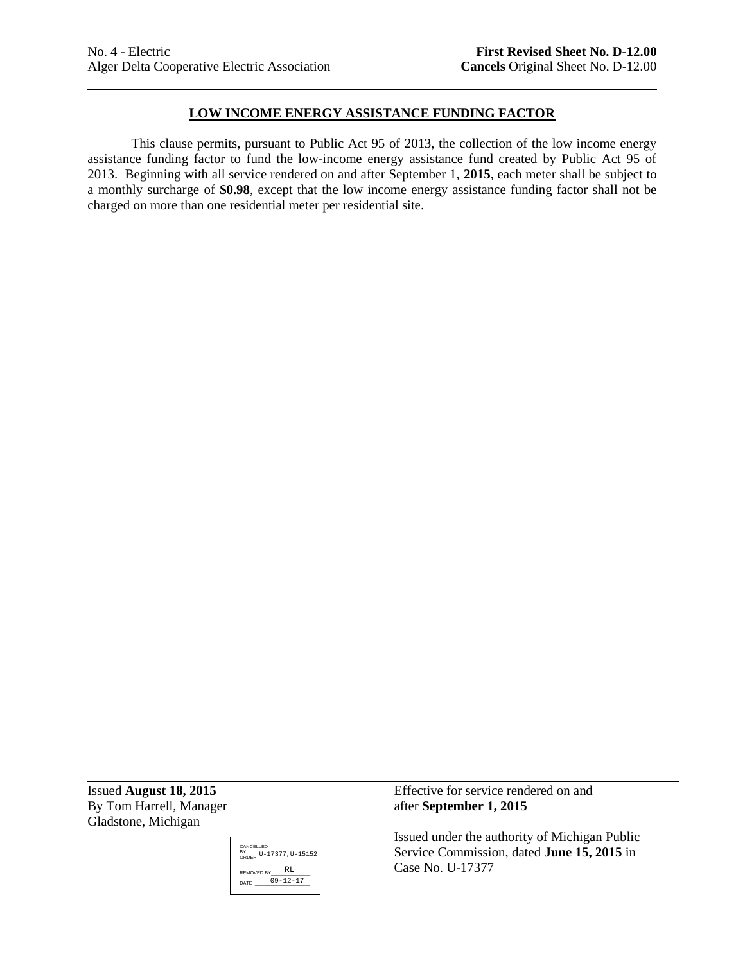# **LOW INCOME ENERGY ASSISTANCE FUNDING FACTOR**

This clause permits, pursuant to Public Act 95 of 2013, the collection of the low income energy assistance funding factor to fund the low-income energy assistance fund created by Public Act 95 of 2013. Beginning with all service rendered on and after September 1, **2015**, each meter shall be subject to a monthly surcharge of **\$0.98**, except that the low income energy assistance funding factor shall not be charged on more than one residential meter per residential site.

By Tom Harrell, Manager after **September 1, 2015** Gladstone, Michigan



Issued **August 18, 2015** Effective for service rendered on and

Issued under the authority of Michigan Public Service Commission, dated **June 15, 2015** in Case No. U-17377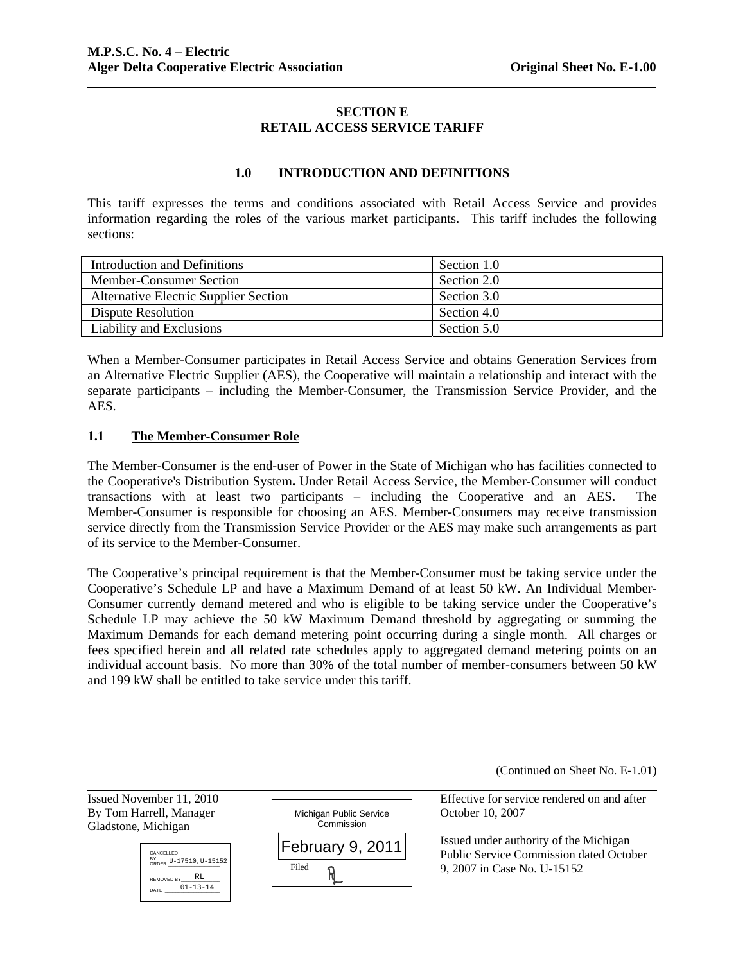# **SECTION E RETAIL ACCESS SERVICE TARIFF**

# **1.0 INTRODUCTION AND DEFINITIONS**

This tariff expresses the terms and conditions associated with Retail Access Service and provides information regarding the roles of the various market participants. This tariff includes the following sections:

| Introduction and Definitions                 | Section 1.0 |
|----------------------------------------------|-------------|
| Member-Consumer Section                      | Section 2.0 |
| <b>Alternative Electric Supplier Section</b> | Section 3.0 |
| Dispute Resolution                           | Section 4.0 |
| Liability and Exclusions                     | Section 5.0 |

When a Member-Consumer participates in Retail Access Service and obtains Generation Services from an Alternative Electric Supplier (AES), the Cooperative will maintain a relationship and interact with the separate participants – including the Member-Consumer, the Transmission Service Provider, and the AES.

# **1.1 The Member-Consumer Role**

The Member-Consumer is the end-user of Power in the State of Michigan who has facilities connected to the Cooperative's Distribution System**.** Under Retail Access Service, the Member-Consumer will conduct transactions with at least two participants – including the Cooperative and an AES. The Member-Consumer is responsible for choosing an AES. Member-Consumers may receive transmission service directly from the Transmission Service Provider or the AES may make such arrangements as part of its service to the Member-Consumer.

The Cooperative's principal requirement is that the Member-Consumer must be taking service under the Cooperative's Schedule LP and have a Maximum Demand of at least 50 kW. An Individual Member-Consumer currently demand metered and who is eligible to be taking service under the Cooperative's Schedule LP may achieve the 50 kW Maximum Demand threshold by aggregating or summing the Maximum Demands for each demand metering point occurring during a single month. All charges or fees specified herein and all related rate schedules apply to aggregated demand metering points on an individual account basis. No more than 30% of the total number of member-consumers between 50 kW and 199 kW shall be entitled to take service under this tariff.

(Continued on Sheet No. E-1.01)

l Gladstone, Michigan





Issued November 11, 2010 <del>can construct the Effective</del> for service rendered on and after

Issued under authority of the Michigan Public Service Commission dated October 9, 2007 in Case No. U-15152